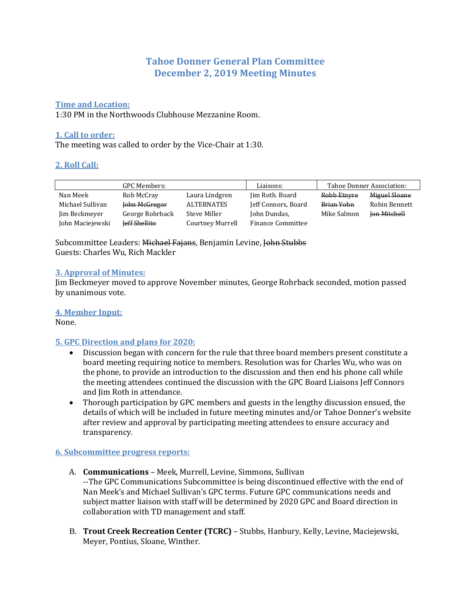# **Tahoe Donner General Plan Committee December 2, 2019 Meeting Minutes**

### **Time and Location:**

1:30 PM in the Northwoods Clubhouse Mezzanine Room.

### **1. Call to order:**

The meeting was called to order by the Vice-Chair at 1:30.

## **2. Roll Call:**

| <b>GPC Members:</b> |                      | Liaisons:        | Tahoe Donner Association: |             |                     |
|---------------------|----------------------|------------------|---------------------------|-------------|---------------------|
| Nan Meek            | Rob McCray           | Laura Lindgren   | Jim Roth. Board           | Robb Etnyre | Miguel Sloane       |
| Michael Sullivan    | John McGregor        | ALTERNATES       | Jeff Connors, Board       | Brian Yohn  | Robin Bennett       |
| Jim Beckmeyer       | George Rohrback      | Steve Miller     | John Dundas,              | Mike Salmon | <b>Jon Mitchell</b> |
| John Maciejewski    | <b>Jeff Shellite</b> | Courtney Murrell | <b>Finance Committee</b>  |             |                     |

Subcommittee Leaders: Michael Fajans, Benjamin Levine, John Stubbs Guests: Charles Wu, Rich Mackler

#### **3. Approval of Minutes:**

Jim Beckmeyer moved to approve November minutes, George Rohrback seconded, motion passed by unanimous vote.

#### **4. Member Input:**

None.

#### **5. GPC Direction and plans for 2020:**

- Discussion began with concern for the rule that three board members present constitute a board meeting requiring notice to members. Resolution was for Charles Wu, who was on the phone, to provide an introduction to the discussion and then end his phone call while the meeting attendees continued the discussion with the GPC Board Liaisons Jeff Connors and Jim Roth in attendance.
- Thorough participation by GPC members and guests in the lengthy discussion ensued, the details of which will be included in future meeting minutes and/or Tahoe Donner's website after review and approval by participating meeting attendees to ensure accuracy and transparency.

#### **6. Subcommittee progress reports:**

- A. **Communications** Meek, Murrell, Levine, Simmons, Sullivan --The GPC Communications Subcommittee is being discontinued effective with the end of Nan Meek's and Michael Sullivan's GPC terms. Future GPC communications needs and subject matter liaison with staff will be determined by 2020 GPC and Board direction in collaboration with TD management and staff.
- B. **Trout Creek Recreation Center (TCRC)** Stubbs, Hanbury, Kelly, Levine, Maciejewski, Meyer, Pontius, Sloane, Winther.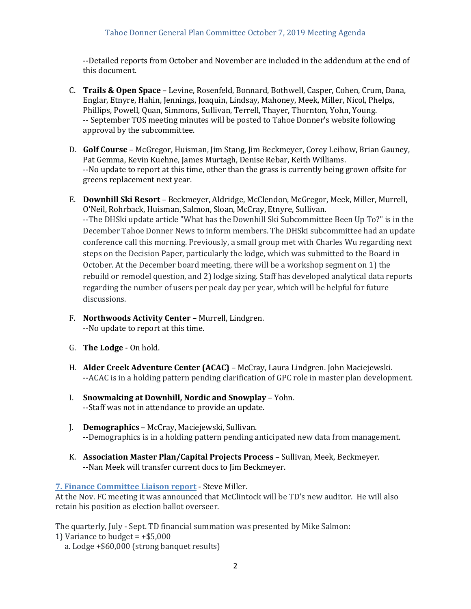--Detailed reports from October and November are included in the addendum at the end of this document.

- C. **Trails & Open Space** Levine, Rosenfeld, Bonnard, Bothwell, Casper, Cohen, Crum, Dana, Englar, Etnyre, Hahin, Jennings, Joaquin, Lindsay, Mahoney, Meek, Miller, Nicol, Phelps, Phillips, Powell, Quan, Simmons, Sullivan, Terrell, Thayer, Thornton, Yohn, Young. -- September TOS meeting minutes will be posted to Tahoe Donner's website following approval by the subcommittee.
- D. **Golf Course** McGregor, Huisman, Jim Stang, Jim Beckmeyer, Corey Leibow, Brian Gauney, Pat Gemma, Kevin Kuehne, James Murtagh, Denise Rebar, Keith Williams. --No update to report at this time, other than the grass is currently being grown offsite for greens replacement next year.
- E. **Downhill Ski Resort** Beckmeyer, Aldridge, McClendon, McGregor, Meek, Miller, Murrell, O'Neil, Rohrback, Huisman, Salmon, Sloan, McCray, Etnyre, Sullivan. --The DHSki update article "What has the Downhill Ski Subcommittee Been Up To?" is in the December Tahoe Donner News to inform members. The DHSki subcommittee had an update conference call this morning. Previously, a small group met with Charles Wu regarding next steps on the Decision Paper, particularly the lodge, which was submitted to the Board in October. At the December board meeting, there will be a workshop segment on 1) the rebuild or remodel question, and 2) lodge sizing. Staff has developed analytical data reports regarding the number of users per peak day per year, which will be helpful for future discussions.
- F. **Northwoods Activity Center** Murrell, Lindgren. --No update to report at this time.
- G. **The Lodge** On hold.
- H. **Alder Creek Adventure Center (ACAC)** McCray, Laura Lindgren. John Maciejewski. --ACAC is in a holding pattern pending clarification of GPC role in master plan development.
- I. **Snowmaking at Downhill, Nordic and Snowplay** Yohn. --Staff was not in attendance to provide an update.
- J. **Demographics** McCray, Maciejewski, Sullivan. --Demographics is in a holding pattern pending anticipated new data from management.
- K. **Association Master Plan/Capital Projects Process**  Sullivan, Meek, Beckmeyer. --Nan Meek will transfer current docs to Jim Beckmeyer.

#### **7. Finance Committee Liaison report** - Steve Miller.

At the Nov. FC meeting it was announced that McClintock will be TD's new auditor. He will also retain his position as election ballot overseer.

The quarterly, July - Sept. TD financial summation was presented by Mike Salmon:

- 1) Variance to budget  $= +$ \$5,000
	- a. Lodge +\$60,000 (strong banquet results)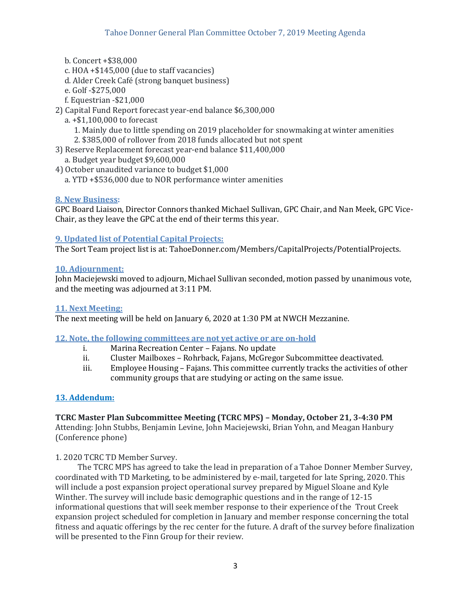- b. Concert +\$38,000
- c. HOA +\$145,000 (due to staff vacancies)
- d. Alder Creek Café (strong banquet business)
- e. Golf -\$275,000
- f. Equestrian -\$21,000
- 2) Capital Fund Report forecast year-end balance \$6,300,000
	- a. +\$1,100,000 to forecast
		- 1. Mainly due to little spending on 2019 placeholder for snowmaking at winter amenities
		- 2. \$385,000 of rollover from 2018 funds allocated but not spent
- 3) Reserve Replacement forecast year-end balance \$11,400,000 a. Budget year budget \$9,600,000
- 4) October unaudited variance to budget \$1,000
	- a. YTD +\$536,000 due to NOR performance winter amenities

# **8. New Business:**

GPC Board Liaison, Director Connors thanked Michael Sullivan, GPC Chair, and Nan Meek, GPC Vice-Chair, as they leave the GPC at the end of their terms this year.

# **9. Updated list of Potential Capital Projects:**

The Sort Team project list is at: TahoeDonner.com/Members/CapitalProjects/PotentialProjects.

## **10. Adjournment:**

John Maciejewski moved to adjourn, Michael Sullivan seconded, motion passed by unanimous vote, and the meeting was adjourned at 3:11 PM.

## **11. Next Meeting:**

The next meeting will be held on January 6, 2020 at 1:30 PM at NWCH Mezzanine.

## **12. Note, the following committees are not yet active or are on-hold**

- i. Marina Recreation Center Fajans. No update
- ii. Cluster Mailboxes Rohrback, Fajans, McGregor Subcommittee deactivated.
- iii. Employee Housing Fajans. This committee currently tracks the activities of other community groups that are studying or acting on the same issue.

# **13. Addendum:**

# **TCRC Master Plan Subcommittee Meeting (TCRC MPS) – Monday, October 21, 3-4:30 PM**

Attending: John Stubbs, Benjamin Levine, John Maciejewski, Brian Yohn, and Meagan Hanbury (Conference phone)

## 1. 2020 TCRC TD Member Survey.

 The TCRC MPS has agreed to take the lead in preparation of a Tahoe Donner Member Survey, coordinated with TD Marketing, to be administered by e-mail, targeted for late Spring, 2020. This will include a post expansion project operational survey prepared by Miguel Sloane and Kyle Winther. The survey will include basic demographic questions and in the range of 12-15 informational questions that will seek member response to their experience of the Trout Creek expansion project scheduled for completion in January and member response concerning the total fitness and aquatic offerings by the rec center for the future. A draft of the survey before finalization will be presented to the Finn Group for their review.